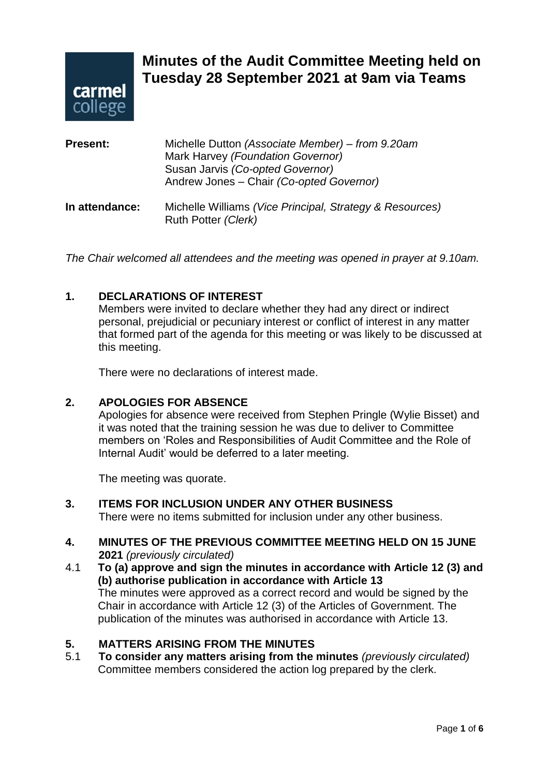

# **Minutes of the Audit Committee Meeting held on Tuesday 28 September 2021 at 9am via Teams**

| <b>Present:</b> | Michelle Dutton (Associate Member) – from 9.20am<br>Mark Harvey (Foundation Governor)<br>Susan Jarvis (Co-opted Governor)<br>Andrew Jones - Chair (Co-opted Governor) |
|-----------------|-----------------------------------------------------------------------------------------------------------------------------------------------------------------------|
| In attendance:  | Michelle Williams (Vice Principal, Strategy & Resources)<br>Ruth Potter (Clerk)                                                                                       |

*The Chair welcomed all attendees and the meeting was opened in prayer at 9.10am.*

## **1. DECLARATIONS OF INTEREST**

Members were invited to declare whether they had any direct or indirect personal, prejudicial or pecuniary interest or conflict of interest in any matter that formed part of the agenda for this meeting or was likely to be discussed at this meeting.

There were no declarations of interest made.

#### **2. APOLOGIES FOR ABSENCE**

Apologies for absence were received from Stephen Pringle (Wylie Bisset) and it was noted that the training session he was due to deliver to Committee members on 'Roles and Responsibilities of Audit Committee and the Role of Internal Audit' would be deferred to a later meeting.

The meeting was quorate.

#### **3. ITEMS FOR INCLUSION UNDER ANY OTHER BUSINESS**

There were no items submitted for inclusion under any other business.

#### **4. MINUTES OF THE PREVIOUS COMMITTEE MEETING HELD ON 15 JUNE 2021** *(previously circulated)*

4.1 **To (a) approve and sign the minutes in accordance with Article 12 (3) and (b) authorise publication in accordance with Article 13** The minutes were approved as a correct record and would be signed by the Chair in accordance with Article 12 (3) of the Articles of Government. The publication of the minutes was authorised in accordance with Article 13.

## **5. MATTERS ARISING FROM THE MINUTES**

5.1 **To consider any matters arising from the minutes** *(previously circulated)* Committee members considered the action log prepared by the clerk.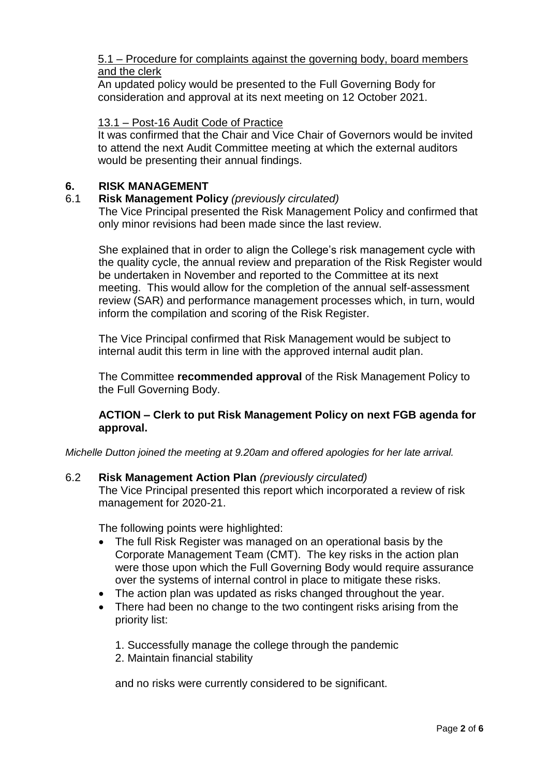#### 5.1 – Procedure for complaints against the governing body, board members and the clerk

An updated policy would be presented to the Full Governing Body for consideration and approval at its next meeting on 12 October 2021.

#### 13.1 – Post-16 Audit Code of Practice

It was confirmed that the Chair and Vice Chair of Governors would be invited to attend the next Audit Committee meeting at which the external auditors would be presenting their annual findings.

#### **6. RISK MANAGEMENT**

#### 6.1 **Risk Management Policy** *(previously circulated)*

The Vice Principal presented the Risk Management Policy and confirmed that only minor revisions had been made since the last review.

She explained that in order to align the College's risk management cycle with the quality cycle, the annual review and preparation of the Risk Register would be undertaken in November and reported to the Committee at its next meeting. This would allow for the completion of the annual self-assessment review (SAR) and performance management processes which, in turn, would inform the compilation and scoring of the Risk Register.

The Vice Principal confirmed that Risk Management would be subject to internal audit this term in line with the approved internal audit plan.

The Committee **recommended approval** of the Risk Management Policy to the Full Governing Body.

## **ACTION – Clerk to put Risk Management Policy on next FGB agenda for approval.**

*Michelle Dutton joined the meeting at 9.20am and offered apologies for her late arrival.*

#### 6.2 **Risk Management Action Plan** *(previously circulated)*

The Vice Principal presented this report which incorporated a review of risk management for 2020-21.

The following points were highlighted:

- The full Risk Register was managed on an operational basis by the Corporate Management Team (CMT). The key risks in the action plan were those upon which the Full Governing Body would require assurance over the systems of internal control in place to mitigate these risks.
- The action plan was updated as risks changed throughout the year.
- There had been no change to the two contingent risks arising from the priority list:
	- 1. Successfully manage the college through the pandemic
	- 2. Maintain financial stability

and no risks were currently considered to be significant.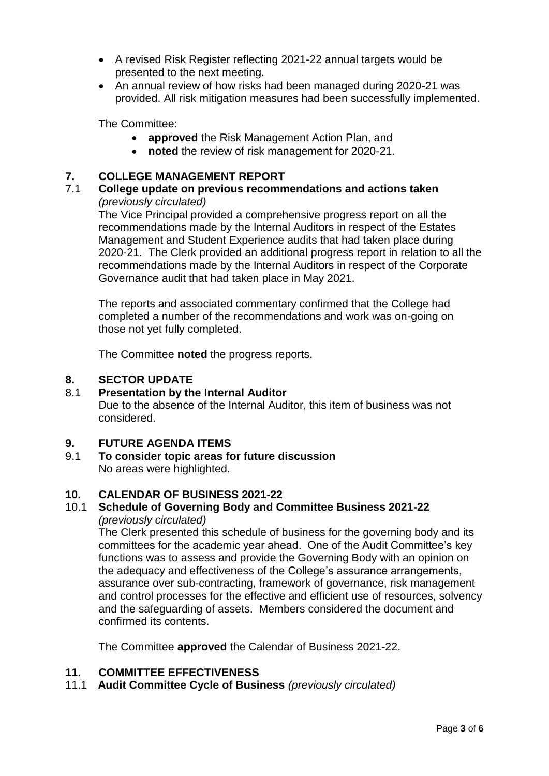- A revised Risk Register reflecting 2021-22 annual targets would be presented to the next meeting.
- An annual review of how risks had been managed during 2020-21 was provided. All risk mitigation measures had been successfully implemented.

The Committee:

- **approved** the Risk Management Action Plan, and
- **noted** the review of risk management for 2020-21.

## **7. COLLEGE MANAGEMENT REPORT**

7.1 **College update on previous recommendations and actions taken**  *(previously circulated)*

The Vice Principal provided a comprehensive progress report on all the recommendations made by the Internal Auditors in respect of the Estates Management and Student Experience audits that had taken place during 2020-21. The Clerk provided an additional progress report in relation to all the recommendations made by the Internal Auditors in respect of the Corporate Governance audit that had taken place in May 2021.

The reports and associated commentary confirmed that the College had completed a number of the recommendations and work was on-going on those not yet fully completed.

The Committee **noted** the progress reports.

#### **8. SECTOR UPDATE**

#### 8.1 **Presentation by the Internal Auditor**

Due to the absence of the Internal Auditor, this item of business was not considered.

#### **9. FUTURE AGENDA ITEMS**

9.1 **To consider topic areas for future discussion** No areas were highlighted.

#### **10. CALENDAR OF BUSINESS 2021-22**

#### 10.1 **Schedule of Governing Body and Committee Business 2021-22** *(previously circulated)*

The Clerk presented this schedule of business for the governing body and its committees for the academic year ahead. One of the Audit Committee's key functions was to assess and provide the Governing Body with an opinion on the adequacy and effectiveness of the College's assurance arrangements, assurance over sub-contracting, framework of governance, risk management and control processes for the effective and efficient use of resources, solvency and the safeguarding of assets. Members considered the document and confirmed its contents.

The Committee **approved** the Calendar of Business 2021-22.

#### **11. COMMITTEE EFFECTIVENESS**

11.1 **Audit Committee Cycle of Business** *(previously circulated)*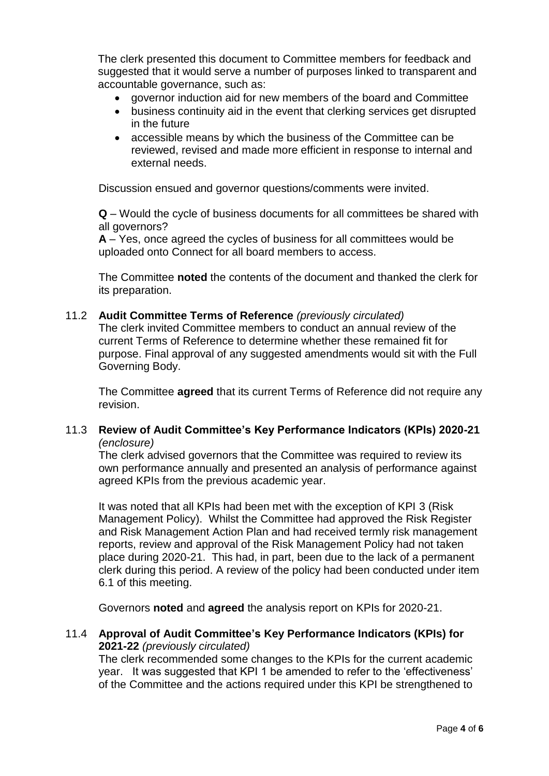The clerk presented this document to Committee members for feedback and suggested that it would serve a number of purposes linked to transparent and accountable governance, such as:

- governor induction aid for new members of the board and Committee
- business continuity aid in the event that clerking services get disrupted in the future
- accessible means by which the business of the Committee can be reviewed, revised and made more efficient in response to internal and external needs.

Discussion ensued and governor questions/comments were invited.

**Q** – Would the cycle of business documents for all committees be shared with all governors?

**A** – Yes, once agreed the cycles of business for all committees would be uploaded onto Connect for all board members to access.

The Committee **noted** the contents of the document and thanked the clerk for its preparation.

#### 11.2 **Audit Committee Terms of Reference** *(previously circulated)*

The clerk invited Committee members to conduct an annual review of the current Terms of Reference to determine whether these remained fit for purpose. Final approval of any suggested amendments would sit with the Full Governing Body.

The Committee **agreed** that its current Terms of Reference did not require any revision.

#### 11.3 **Review of Audit Committee's Key Performance Indicators (KPIs) 2020-21**  *(enclosure)*

The clerk advised governors that the Committee was required to review its own performance annually and presented an analysis of performance against agreed KPIs from the previous academic year.

It was noted that all KPIs had been met with the exception of KPI 3 (Risk Management Policy). Whilst the Committee had approved the Risk Register and Risk Management Action Plan and had received termly risk management reports, review and approval of the Risk Management Policy had not taken place during 2020-21. This had, in part, been due to the lack of a permanent clerk during this period. A review of the policy had been conducted under item 6.1 of this meeting.

Governors **noted** and **agreed** the analysis report on KPIs for 2020-21.

#### 11.4 **Approval of Audit Committee's Key Performance Indicators (KPIs) for 2021-22** *(previously circulated)*

The clerk recommended some changes to the KPIs for the current academic year. It was suggested that KPI 1 be amended to refer to the 'effectiveness' of the Committee and the actions required under this KPI be strengthened to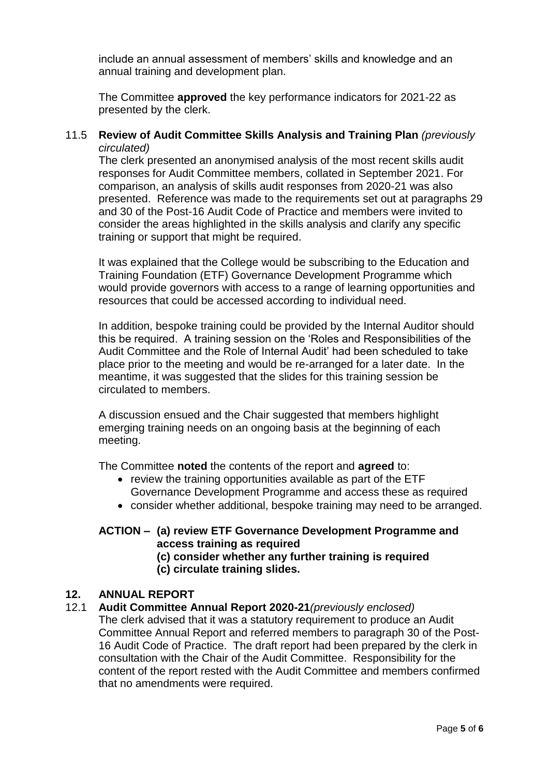include an annual assessment of members' skills and knowledge and an annual training and development plan.

The Committee **approved** the key performance indicators for 2021-22 as presented by the clerk.

#### 11.5 **Review of Audit Committee Skills Analysis and Training Plan** *(previously circulated)*

The clerk presented an anonymised analysis of the most recent skills audit responses for Audit Committee members, collated in September 2021. For comparison, an analysis of skills audit responses from 2020-21 was also presented. Reference was made to the requirements set out at paragraphs 29 and 30 of the Post-16 Audit Code of Practice and members were invited to consider the areas highlighted in the skills analysis and clarify any specific training or support that might be required.

It was explained that the College would be subscribing to the Education and Training Foundation (ETF) Governance Development Programme which would provide governors with access to a range of learning opportunities and resources that could be accessed according to individual need.

In addition, bespoke training could be provided by the Internal Auditor should this be required. A training session on the 'Roles and Responsibilities of the Audit Committee and the Role of Internal Audit' had been scheduled to take place prior to the meeting and would be re-arranged for a later date. In the meantime, it was suggested that the slides for this training session be circulated to members.

A discussion ensued and the Chair suggested that members highlight emerging training needs on an ongoing basis at the beginning of each meeting.

The Committee **noted** the contents of the report and **agreed** to:

- review the training opportunities available as part of the ETF Governance Development Programme and access these as required
- consider whether additional, bespoke training may need to be arranged.

# **ACTION – (a) review ETF Governance Development Programme and access training as required**

**(c) consider whether any further training is required (c) circulate training slides.**

#### **12. ANNUAL REPORT**

#### 12.1 **Audit Committee Annual Report 2020-21***(previously enclosed)*

The clerk advised that it was a statutory requirement to produce an Audit Committee Annual Report and referred members to paragraph 30 of the Post-16 Audit Code of Practice. The draft report had been prepared by the clerk in consultation with the Chair of the Audit Committee. Responsibility for the content of the report rested with the Audit Committee and members confirmed that no amendments were required.